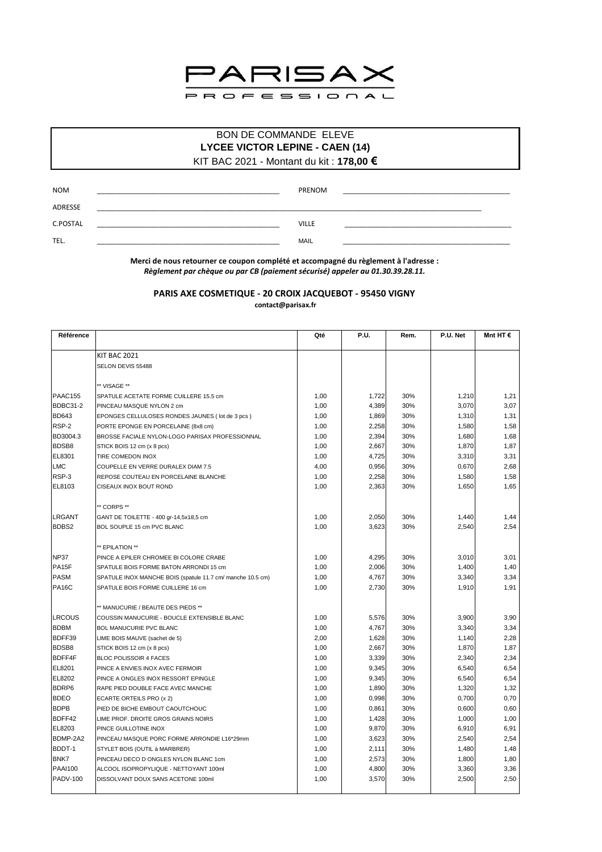

## BON DE COMMANDE ELEVE **LYCEE VICTOR LEPINE - CAEN (14)**

KIT BAC 2021 - Montant du kit : 178,00 €

| <b>NOM</b> | PRENOM       |  |
|------------|--------------|--|
| ADRESSE    |              |  |
| C.POSTAL   | <b>VILLE</b> |  |
| TEL.       | <b>MAIL</b>  |  |

Merci de nous retourner ce coupon complété et accompagné du règlement à l'adresse : Règlement par chèque ou par CB (paiement sécurisé) appeler au 01.30.39.28.11.

## PARIS AXE COSMETIQUE - 20 CROIX JACQUEBOT - 95450 VIGNY contact@parisax.fr

| Référence          |                                                            | Qté  | <b>P.U.</b> | Rem. | P.U. Net | Mnt HT $\epsilon$ |
|--------------------|------------------------------------------------------------|------|-------------|------|----------|-------------------|
|                    |                                                            |      |             |      |          |                   |
|                    | <b>KIT BAC 2021</b>                                        |      |             |      |          |                   |
|                    | SELON DEVIS 55488                                          |      |             |      |          |                   |
|                    |                                                            |      |             |      |          |                   |
|                    | ** VISAGE **                                               |      |             |      |          |                   |
| PAAC155            | SPATULE ACETATE FORME CUILLERE 15.5 cm                     | 1,00 | 1,722       | 30%  | 1,210    | 1,21              |
| BDBC31-2           | PINCEAU MASQUE NYLON 2 cm                                  | 1,00 | 4,389       | 30%  | 3,070    | 3,07              |
| <b>BD643</b>       | EPONGES CELLULOSES RONDES JAUNES (lot de 3 pcs)            | 1,00 | 1,869       | 30%  | 1,310    | 1,31              |
| RSP-2              | PORTE EPONGE EN PORCELAINE (8x8 cm)                        | 1,00 | 2,258       | 30%  | 1,580    | 1,58              |
| BD3004.3           | BROSSE FACIALE NYLON-LOGO PARISAX PROFESSIONNAL            | 1,00 | 2,394       | 30%  | 1,680    | 1,68              |
| <b>BDSB8</b>       | STICK BOIS 12 cm (x 8 pcs)                                 | 1,00 | 2,667       | 30%  | 1,870    | 1,87              |
| EL8301             | TIRE COMEDON INOX                                          | 1,00 | 4,725       | 30%  | 3,310    | 3,31              |
| <b>LMC</b>         | COUPELLE EN VERRE DURALEX DIAM 7.5                         | 4,00 | 0,956       | 30%  | 0,670    | 2,68              |
| RSP-3              | REPOSE COUTEAU EN PORCELAINE BLANCHE                       | 1,00 | 2,258       | 30%  | 1,580    | 1,58              |
| EL8103             | CISEAUX INOX BOUT ROND                                     | 1,00 | 2,363       | 30%  | 1,650    | 1,65              |
|                    | ** CORPS **                                                |      |             |      |          |                   |
| <b>LRGANT</b>      | GANT DE TOILETTE - 400 gr-14,5x18,5 cm                     | 1,00 | 2,050       | 30%  | 1,440    | 1,44              |
| <b>BDBS2</b>       | BOL SOUPLE 15 cm PVC BLANC                                 | 1,00 | 3,623       | 30%  | 2,540    | 2,54              |
|                    |                                                            |      |             |      |          |                   |
|                    | ** EPILATION **                                            |      |             |      |          |                   |
| <b>NP37</b>        | PINCE A EPILER CHROMEE BI COLORE CRABE                     | 1,00 | 4,295       | 30%  | 3,010    | 3,01              |
| PA <sub>15</sub> F | SPATULE BOIS FORME BATON ARRONDI 15 cm                     | 1,00 | 2,006       | 30%  | 1,400    | 1,40              |
| <b>PASM</b>        | SPATULE INOX MANCHE BOIS (spatule 11.7 cm/ manche 10.5 cm) | 1,00 | 4,767       | 30%  | 3,340    | 3,34              |
| <b>PA16C</b>       | SPATULE BOIS FORME CUILLERE 16 cm                          | 1,00 | 2,730       | 30%  | 1,910    | 1,91              |
|                    | ** MANUCURIE / BEAUTE DES PIEDS **                         |      |             |      |          |                   |
| LRCOUS             | COUSSIN MANUCURIE - BOUCLE EXTENSIBLE BLANC                | 1,00 | 5,576       | 30%  | 3,900    | 3,90              |
| <b>BDBM</b>        | <b>BOL MANUCURIE PVC BLANC</b>                             | 1,00 | 4,767       | 30%  | 3,340    | 3,34              |
| BDFF39             | LIME BOIS MAUVE (sachet de 5)                              | 2,00 | 1,628       | 30%  | 1,140    | 2,28              |
| <b>BDSB8</b>       | STICK BOIS 12 cm (x 8 pcs)                                 | 1,00 | 2,667       | 30%  | 1,870    | 1,87              |
| <b>BDFF4F</b>      | <b>BLOC POLISSOIR 4 FACES</b>                              | 1,00 | 3,339       | 30%  | 2,340    | 2,34              |
| EL8201             | PINCE A ENVIES INOX AVEC FERMOIR                           | 1,00 | 9,345       | 30%  | 6,540    | 6,54              |
| EL8202             | PINCE A ONGLES INOX RESSORT EPINGLE                        | 1,00 | 9,345       | 30%  | 6,540    | 6,54              |
| <b>BDRP6</b>       | RAPE PIED DOUBLE FACE AVEC MANCHE                          | 1,00 | 1,890       | 30%  | 1,320    | 1,32              |
| <b>BDEO</b>        | ECARTE ORTEILS PRO (x 2)                                   | 1,00 | 0,998       | 30%  | 0,700    | 0,70              |
| <b>BDPB</b>        | PIED DE BICHE EMBOUT CAOUTCHOUC                            | 1,00 | 0,861       | 30%  | 0,600    | 0,60              |
| BDFF42             | LIME PROF. DROITE GROS GRAINS NOIRS                        | 1,00 | 1,428       | 30%  | 1,000    | 1,00              |
| EL8203             | PINCE GUILLOTINE INOX                                      | 1,00 | 9,870       | 30%  | 6,910    | 6,91              |
| BDMP-2A2           |                                                            |      |             |      |          |                   |
|                    | PINCEAU MASQUE PORC FORME ARRONDIE L16*29mm                | 1,00 | 3,623       | 30%  | 2,540    | 2,54              |
| BDDT-1             | STYLET BOIS (OUTIL à MARBRER)                              | 1,00 | 2,111       | 30%  | 1,480    | 1,48              |
| <b>BNK7</b>        | PINCEAU DECO D ONGLES NYLON BLANC 1cm                      | 1,00 | 2,573       | 30%  | 1,800    | 1,80              |
| <b>PAAI100</b>     | ALCOOL ISOPROPYLIQUE - NETTOYANT 100ml                     | 1,00 | 4,800       | 30%  | 3,360    | 3,36              |
| <b>PADV-100</b>    | DISSOLVANT DOUX SANS ACETONE 100ml                         | 1,00 | 3,570       | 30%  | 2,500    | 2,50              |